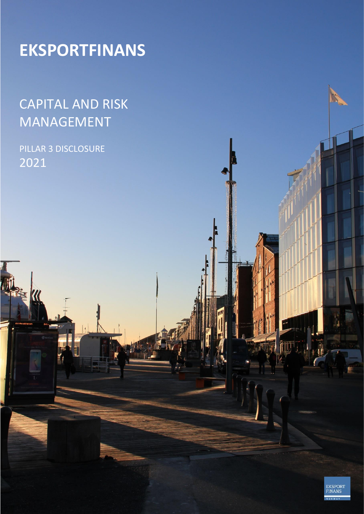# **EKSPORTFINANS**

## CAPITAL AND RISK MANAGEMENT

### PILLAR 3 DISCLOSURE 2021

**Ex 1/4** 

**EKSPORT**<br>FINANS

iiii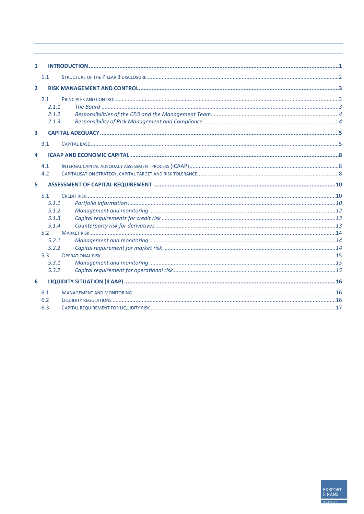| 1                       |       |  |
|-------------------------|-------|--|
|                         | 1.1   |  |
| $\overline{2}$          |       |  |
|                         | 2.1   |  |
|                         | 2.1.1 |  |
|                         | 2.1.2 |  |
|                         | 2.1.3 |  |
| $\overline{\mathbf{3}}$ |       |  |
|                         | 3.1   |  |
| 4                       |       |  |
|                         | 4.1   |  |
|                         | 4.2   |  |
|                         |       |  |
| 5                       |       |  |
|                         | 5.1   |  |
|                         | 5.1.1 |  |
|                         | 5.1.2 |  |
|                         | 5.1.3 |  |
|                         | 5.1.4 |  |
|                         | 5.2   |  |
|                         | 5.2.1 |  |
|                         | 5.2.2 |  |
|                         | 5.3   |  |
|                         | 5.3.1 |  |
|                         | 5.3.2 |  |
| 6                       |       |  |
|                         | 6.1   |  |
|                         | 6.2   |  |
|                         | 6.3   |  |

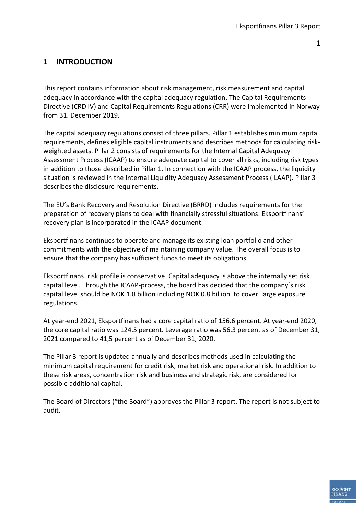#### <span id="page-2-0"></span>**1 INTRODUCTION**

This report contains information about risk management, risk measurement and capital adequacy in accordance with the capital adequacy regulation. The Capital Requirements Directive (CRD IV) and Capital Requirements Regulations (CRR) were implemented in Norway from 31. December 2019.

The capital adequacy regulations consist of three pillars. Pillar 1 establishes minimum capital requirements, defines eligible capital instruments and describes methods for calculating riskweighted assets. Pillar 2 consists of requirements for the Internal Capital Adequacy Assessment Process (ICAAP) to ensure adequate capital to cover all risks, including risk types in addition to those described in Pillar 1. In connection with the ICAAP process, the liquidity situation is reviewed in the Internal Liquidity Adequacy Assessment Process (ILAAP). Pillar 3 describes the disclosure requirements.

The EU's Bank Recovery and Resolution Directive (BRRD) includes requirements for the preparation of recovery plans to deal with financially stressful situations. Eksportfinans' recovery plan is incorporated in the ICAAP document.

Eksportfinans continues to operate and manage its existing loan portfolio and other commitments with the objective of maintaining company value. The overall focus is to ensure that the company has sufficient funds to meet its obligations.

Eksportfinans´ risk profile is conservative. Capital adequacy is above the internally set risk capital level. Through the ICAAP-process, the board has decided that the company´s risk capital level should be NOK 1.8 billion including NOK 0.8 billion to cover large exposure regulations.

At year-end 2021, Eksportfinans had a core capital ratio of 156.6 percent. At year-end 2020, the core capital ratio was 124.5 percent. Leverage ratio was 56.3 percent as of December 31, 2021 compared to 41,5 percent as of December 31, 2020.

The Pillar 3 report is updated annually and describes methods used in calculating the minimum capital requirement for credit risk, market risk and operational risk. In addition to these risk areas, concentration risk and business and strategic risk, are considered for possible additional capital.

The Board of Directors ("the Board") approves the Pillar 3 report. The report is not subject to audit.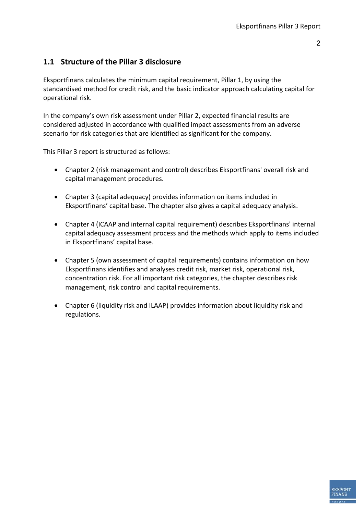#### <span id="page-3-0"></span>**1.1 Structure of the Pillar 3 disclosure**

Eksportfinans calculates the minimum capital requirement, Pillar 1, by using the standardised method for credit risk, and the basic indicator approach calculating capital for operational risk.

In the company's own risk assessment under Pillar 2, expected financial results are considered adjusted in accordance with qualified impact assessments from an adverse scenario for risk categories that are identified as significant for the company.

This Pillar 3 report is structured as follows:

- Chapter 2 (risk management and control) describes Eksportfinans' overall risk and capital management procedures.
- Chapter 3 (capital adequacy) provides information on items included in Eksportfinans' capital base. The chapter also gives a capital adequacy analysis.
- Chapter 4 (ICAAP and internal capital requirement) describes Eksportfinans' internal capital adequacy assessment process and the methods which apply to items included in Eksportfinans' capital base.
- Chapter 5 (own assessment of capital requirements) contains information on how Eksportfinans identifies and analyses credit risk, market risk, operational risk, concentration risk. For all important risk categories, the chapter describes risk management, risk control and capital requirements.
- Chapter 6 (liquidity risk and ILAAP) provides information about liquidity risk and regulations.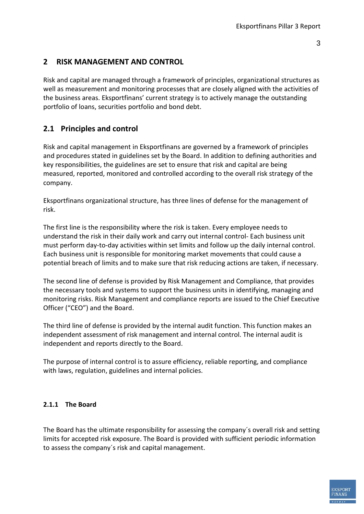#### <span id="page-4-0"></span>**2 RISK MANAGEMENT AND CONTROL**

Risk and capital are managed through a framework of principles, organizational structures as well as measurement and monitoring processes that are closely aligned with the activities of the business areas. Eksportfinans' current strategy is to actively manage the outstanding portfolio of loans, securities portfolio and bond debt.

#### <span id="page-4-1"></span>**2.1 Principles and control**

Risk and capital management in Eksportfinans are governed by a framework of principles and procedures stated in guidelines set by the Board. In addition to defining authorities and key responsibilities, the guidelines are set to ensure that risk and capital are being measured, reported, monitored and controlled according to the overall risk strategy of the company.

Eksportfinans organizational structure, has three lines of defense for the management of risk.

The first line is the responsibility where the risk is taken. Every employee needs to understand the risk in their daily work and carry out internal control- Each business unit must perform day-to-day activities within set limits and follow up the daily internal control. Each business unit is responsible for monitoring market movements that could cause a potential breach of limits and to make sure that risk reducing actions are taken, if necessary.

The second line of defense is provided by Risk Management and Compliance, that provides the necessary tools and systems to support the business units in identifying, managing and monitoring risks. Risk Management and compliance reports are issued to the Chief Executive Officer ("CEO") and the Board.

The third line of defense is provided by the internal audit function. This function makes an independent assessment of risk management and internal control. The internal audit is independent and reports directly to the Board.

The purpose of internal control is to assure efficiency, reliable reporting, and compliance with laws, regulation, guidelines and internal policies.

#### <span id="page-4-2"></span>**2.1.1 The Board**

The Board has the ultimate responsibility for assessing the company´s overall risk and setting limits for accepted risk exposure. The Board is provided with sufficient periodic information to assess the company´s risk and capital management.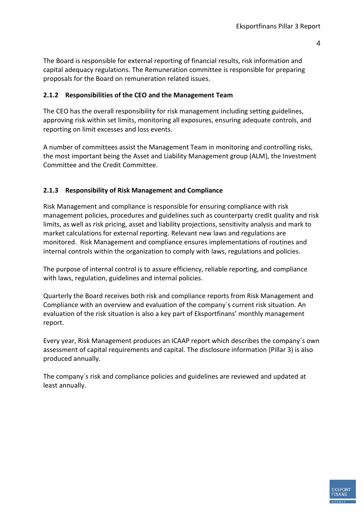**EKSPORT** 

The Board is responsible for external reporting of financial results, risk information and capital adequacy regulations. The Remuneration committee is responsible for preparing proposals for the Board on remuneration related issues.

#### <span id="page-5-0"></span>**2.1.2 Responsibilities of the CEO and the Management Team**

The CEO has the overall responsibility for risk management including setting guidelines, approving risk within set limits, monitoring all exposures, ensuring adequate controls, and reporting on limit excesses and loss events.

A number of committees assist the Management Team in monitoring and controlling risks, the most important being the Asset and Liability Management group (ALM), the Investment Committee and the Credit Committee.

#### <span id="page-5-1"></span>**2.1.3 Responsibility of Risk Management and Compliance**

Risk Management and compliance is responsible for ensuring compliance with risk management policies, procedures and guidelines such as counterparty credit quality and risk limits, as well as risk pricing, asset and liability projections, sensitivity analysis and mark to market calculations for external reporting. Relevant new laws and regulations are monitored. Risk Management and compliance ensures implementations of routines and internal controls within the organization to comply with laws, regulations and policies.

The purpose of internal control is to assure efficiency, reliable reporting, and compliance with laws, regulation, guidelines and internal policies.

Quarterly the Board receives both risk and compliance reports from Risk Management and Compliance with an overview and evaluation of the company´s current risk situation. An evaluation of the risk situation is also a key part of Eksportfinans' monthly management report.

Every year, Risk Management produces an ICAAP report which describes the company´s own assessment of capital requirements and capital. The disclosure information (Pillar 3) is also produced annually.

The company´s risk and compliance policies and guidelines are reviewed and updated at least annually.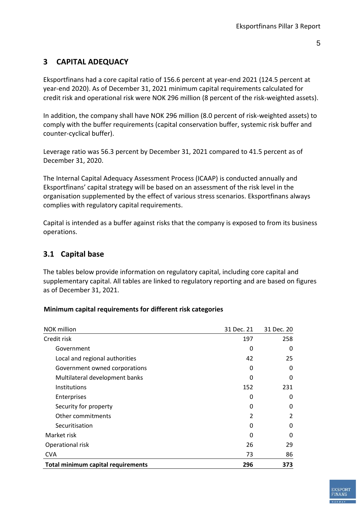#### <span id="page-6-0"></span>**3 CAPITAL ADEQUACY**

Eksportfinans had a core capital ratio of 156.6 percent at year-end 2021 (124.5 percent at year-end 2020). As of December 31, 2021 minimum capital requirements calculated for credit risk and operational risk were NOK 296 million (8 percent of the risk-weighted assets).

In addition, the company shall have NOK 296 million (8.0 percent of risk-weighted assets) to comply with the buffer requirements (capital conservation buffer, systemic risk buffer and counter-cyclical buffer).

Leverage ratio was 56.3 percent by December 31, 2021 compared to 41.5 percent as of December 31, 2020.

The Internal Capital Adequacy Assessment Process (ICAAP) is conducted annually and Eksportfinans' capital strategy will be based on an assessment of the risk level in the organisation supplemented by the effect of various stress scenarios. Eksportfinans always complies with regulatory capital requirements.

Capital is intended as a buffer against risks that the company is exposed to from its business operations.

#### <span id="page-6-1"></span>**3.1 Capital base**

The tables below provide information on regulatory capital, including core capital and supplementary capital. All tables are linked to regulatory reporting and are based on figures as of December 31, 2021.

#### **Minimum capital requirements for different risk categories**

| <b>NOK</b> million                        | 31 Dec. 21 | 31 Dec. 20 |
|-------------------------------------------|------------|------------|
| Credit risk                               | 258        |            |
| Government                                | 0          | 0          |
| Local and regional authorities            | 42         | 25         |
| Government owned corporations             | 0          | 0          |
| Multilateral development banks            | O          | 0          |
| <b>Institutions</b>                       | 152        | 231        |
| <b>Enterprises</b>                        | O          | 0          |
| Security for property                     | 0          | 0          |
| Other commitments                         | 2          | 2          |
| Securitisation                            | 0          | 0          |
| Market risk                               | ŋ          | 0          |
| Operational risk                          | 26         | 29         |
| <b>CVA</b>                                | 73         | 86         |
| <b>Total minimum capital requirements</b> | 296        | 373        |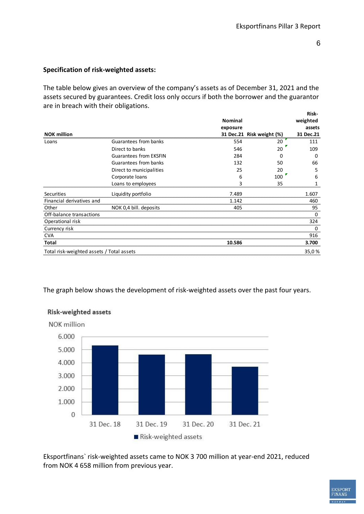#### **Specification of risk-weighted assets:**

The table below gives an overview of the company's assets as of December 31, 2021 and the assets secured by guarantees. Credit loss only occurs if both the borrower and the guarantor are in breach with their obligations. **Risk-**

|                                           |                               |                |                 | nısn-     |
|-------------------------------------------|-------------------------------|----------------|-----------------|-----------|
|                                           |                               | <b>Nominal</b> |                 | weighted  |
|                                           |                               | exposure       |                 | assets    |
| <b>NOK million</b>                        |                               | 31 Dec.21      | Risk weight (%) | 31 Dec.21 |
| Loans                                     | Guarantees from banks         | 554            | 20              | 111       |
|                                           | Direct to banks               | 546            | 20              | 109       |
|                                           | <b>Guarantees from EKSFIN</b> | 284            | O               | 0         |
|                                           | Guarantees from banks         | 132            | 50              | 66        |
|                                           | Direct to municipalities      | 25             | 20              | 5         |
|                                           | Corporate loans               | 6              | 100             | 6         |
|                                           | Loans to employees            | 3              | 35              | 1         |
| Securities                                | Liquidity portfolio           | 7.489          |                 | 1.607     |
| Financial derivatives and                 |                               | 1.142          |                 | 460       |
| Other                                     | NOK 0,4 bill. deposits        | 405            |                 | 95        |
| Off-balance transactions                  |                               |                |                 | 0         |
| Operational risk                          |                               |                |                 | 324       |
| Currency risk                             |                               |                |                 | 0         |
| <b>CVA</b>                                |                               |                |                 | 916       |
| Total                                     |                               | 10.586         |                 | 3.700     |
| Total risk-weighted assets / Total assets |                               |                |                 | 35,0%     |

The graph below shows the development of risk-weighted assets over the past four years.



#### **Risk-weighted assets**

Eksportfinans` risk-weighted assets came to NOK 3 700 million at year-end 2021, reduced from NOK 4 658 million from previous year.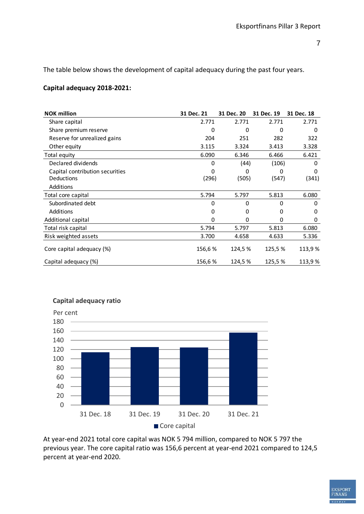The table below shows the development of capital adequacy during the past four years.

#### **Capital adequacy 2018-2021:**

| <b>NOK million</b>              | 31 Dec. 21 | 31 Dec. 20 | 31 Dec. 19 | 31 Dec. 18 |
|---------------------------------|------------|------------|------------|------------|
| Share capital                   | 2.771      | 2.771      | 2.771      | 2.771      |
| Share premium reserve           | 0          | 0          | 0          | $\Omega$   |
| Reserve for unrealized gains    | 204        | 251        | 282        | 322        |
| Other equity                    | 3.115      | 3.324      | 3.413      | 3.328      |
| Total equity                    | 6.090      | 6.346      | 6.466      | 6.421      |
| Declared dividends              | 0          | (44)       | (106)      | 0          |
| Capital contribution securities | $\Omega$   | 0          | 0          | 0          |
| Deductions                      | (296)      | (505)      | (547)      | (341)      |
| Additions                       |            |            |            |            |
| Total core capital              | 5.794      | 5.797      | 5.813      | 6.080      |
| Subordinated debt               | 0          | 0          | 0          | 0          |
| Additions                       | 0          | 0          | 0          | O          |
| Additional capital              | $\Omega$   | 0          | 0          | 0          |
| Total risk capital              | 5.794      | 5.797      | 5.813      | 6.080      |
| Risk weighted assets            | 3.700      | 4.658      | 4.633      | 5.336      |
| Core capital adequacy (%)       | 156,6%     | 124,5 %    | 125,5 %    | 113,9 %    |
| Capital adequacy (%)            | 156,6%     | 124,5 %    | 125,5%     | 113,9%     |



**Capital adequacy ratio**

At year-end 2021 total core capital was NOK 5 794 million, compared to NOK 5 797 the previous year. The core capital ratio was 156,6 percent at year-end 2021 compared to 124,5 percent at year-end 2020.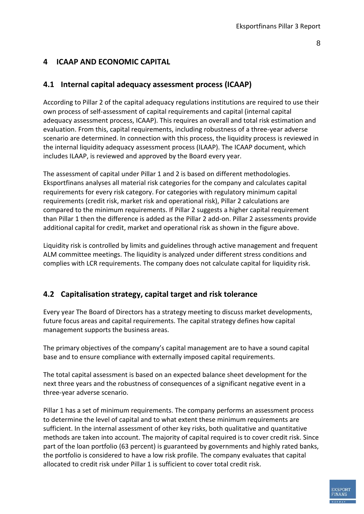#### <span id="page-9-1"></span><span id="page-9-0"></span>**4 ICAAP AND ECONOMIC CAPITAL**

#### **4.1 Internal capital adequacy assessment process (ICAAP)**

According to Pillar 2 of the capital adequacy regulations institutions are required to use their own process of self-assessment of capital requirements and capital (internal capital adequacy assessment process, ICAAP). This requires an overall and total risk estimation and evaluation. From this, capital requirements, including robustness of a three-year adverse scenario are determined. In connection with this process, the liquidity process is reviewed in the internal liquidity adequacy assessment process (ILAAP). The ICAAP document, which includes ILAAP, is reviewed and approved by the Board every year.

The assessment of capital under Pillar 1 and 2 is based on different methodologies. Eksportfinans analyses all material risk categories for the company and calculates capital requirements for every risk category. For categories with regulatory minimum capital requirements (credit risk, market risk and operational risk), Pillar 2 calculations are compared to the minimum requirements. If Pillar 2 suggests a higher capital requirement than Pillar 1 then the difference is added as the Pillar 2 add-on. Pillar 2 assessments provide additional capital for credit, market and operational risk as shown in the figure above.

Liquidity risk is controlled by limits and guidelines through active management and frequent ALM committee meetings. The liquidity is analyzed under different stress conditions and complies with LCR requirements. The company does not calculate capital for liquidity risk.

#### <span id="page-9-2"></span>**4.2 Capitalisation strategy, capital target and risk tolerance**

Every year The Board of Directors has a strategy meeting to discuss market developments, future focus areas and capital requirements. The capital strategy defines how capital management supports the business areas.

The primary objectives of the company's capital management are to have a sound capital base and to ensure compliance with externally imposed capital requirements.

The total capital assessment is based on an expected balance sheet development for the next three years and the robustness of consequences of a significant negative event in a three-year adverse scenario.

Pillar 1 has a set of minimum requirements. The company performs an assessment process to determine the level of capital and to what extent these minimum requirements are sufficient. In the internal assessment of other key risks, both qualitative and quantitative methods are taken into account. The majority of capital required is to cover credit risk. Since part of the loan portfolio (63 percent) is guaranteed by governments and highly rated banks, the portfolio is considered to have a low risk profile. The company evaluates that capital allocated to credit risk under Pillar 1 is sufficient to cover total credit risk.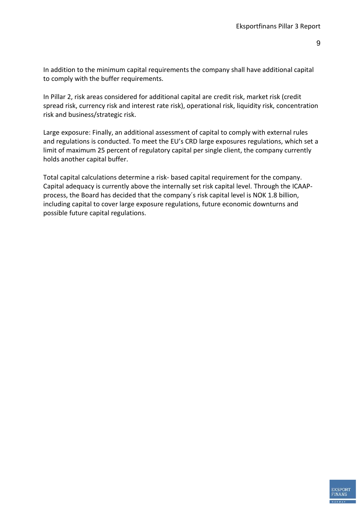**EKSPORT** 

In addition to the minimum capital requirements the company shall have additional capital to comply with the buffer requirements.

In Pillar 2, risk areas considered for additional capital are credit risk, market risk (credit spread risk, currency risk and interest rate risk), operational risk, liquidity risk, concentration risk and business/strategic risk.

Large exposure: Finally, an additional assessment of capital to comply with external rules and regulations is conducted. To meet the EU's CRD large exposures regulations, which set a limit of maximum 25 percent of regulatory capital per single client, the company currently holds another capital buffer.

Total capital calculations determine a risk- based capital requirement for the company. Capital adequacy is currently above the internally set risk capital level. Through the ICAAPprocess, the Board has decided that the company´s risk capital level is NOK 1.8 billion, including capital to cover large exposure regulations, future economic downturns and possible future capital regulations.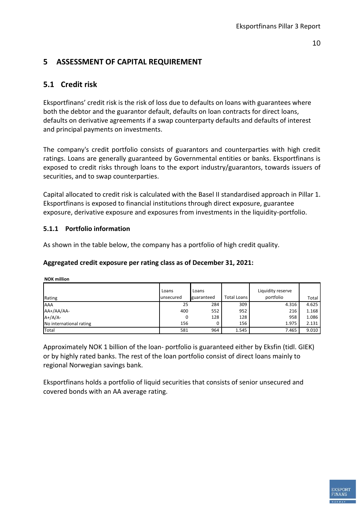#### <span id="page-11-1"></span><span id="page-11-0"></span>**5 ASSESSMENT OF CAPITAL REQUIREMENT**

#### **5.1 Credit risk**

Eksportfinans' credit risk is the risk of loss due to defaults on loans with guarantees where both the debtor and the guarantor default, defaults on loan contracts for direct loans, defaults on derivative agreements if a swap counterparty defaults and defaults of interest and principal payments on investments.

The company's credit portfolio consists of guarantors and counterparties with high credit ratings. Loans are generally guaranteed by Governmental entities or banks. Eksportfinans is exposed to credit risks through loans to the export industry/guarantors, towards issuers of securities, and to swap counterparties.

Capital allocated to credit risk is calculated with the Basel II standardised approach in Pillar 1. Eksportfinans is exposed to financial institutions through direct exposure, guarantee exposure, derivative exposure and exposures from investments in the liquidity-portfolio.

#### <span id="page-11-2"></span>**5.1.1 Portfolio information**

As shown in the table below, the company has a portfolio of high credit quality.

#### **Aggregated credit exposure per rating class as of December 31, 2021:**

**NOK million**

| Rating                  | Loans<br>unsecured | Loans<br>guaranteed | <b>Total Loans</b> | Liquidity reserve<br>portfolio | Total |
|-------------------------|--------------------|---------------------|--------------------|--------------------------------|-------|
| <b>AAA</b>              | 25                 | 284                 | 309                | 4.316                          | 4.625 |
| AA+/AA/AA-              | 400                | 552                 | 952                | 216                            | 1.168 |
| $A+}/A/A-$              | 0                  | 128                 | 128                | 958                            | 1.086 |
| No international rating | 156                |                     | 156                | 1.975                          | 2.131 |
| Total                   | 581                | 964                 | 1.545              | 7.465                          | 9.010 |

Approximately NOK 1 billion of the loan- portfolio is guaranteed either by Eksfin (tidl. GIEK) or by highly rated banks. The rest of the loan portfolio consist of direct loans mainly to regional Norwegian savings bank.

Eksportfinans holds a portfolio of liquid securities that consists of senior unsecured and covered bonds with an AA average rating.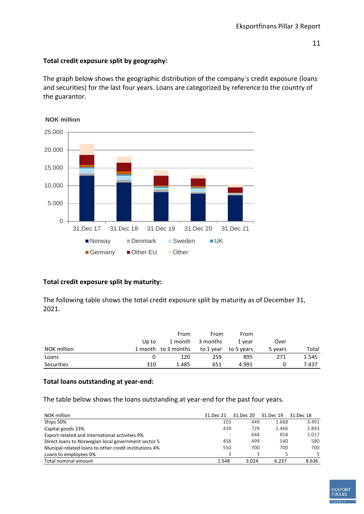#### **Total credit exposure split by geography:**

The graph below shows the geographic distribution of the company`s credit exposure (loans and securities) for the last four years. Loans are categorized by reference to the country of the guarantor.



#### **NOK million**

#### **Total credit exposure split by maturity:**

The following table shows the total credit exposure split by maturity as of December 31, 2021.

|             |       | From                | From      | From       |         |       |
|-------------|-------|---------------------|-----------|------------|---------|-------|
|             | Up to | 1 month             | 3 months  | 1 vear     | Over    |       |
| NOK million |       | 1 month to 3 months | to 1 year | to 5 years | 5 years | Total |
| Loans       |       | 120                 | 259       | 895        | 271     | 1.545 |
| Securities  | 310   | 1.485               | 651       | 4.991      |         | 7.437 |

#### **Total loans outstanding at year-end:**

The table below shows the loans outstanding at year-end for the past four years.

| NOK million                                           | 31.Dec 21 | 31.Dec 20 | 31.Dec 19 | 31.Dec 18 |
|-------------------------------------------------------|-----------|-----------|-----------|-----------|
| Ships 50%                                             | 103       | 449       | 1.668     | 3.491     |
| Capital goods 33%                                     | 434       | 729       | 2.466     | 2.843     |
| Export-related and international activities 9%        | ٠         | 644       | 858       | 1.017     |
| Direct loans to Norwegian local government sector 5   | 458       | 499       | 540       | 580       |
| Munipal-related loans to other credit institutions 4% | 550       | 700       | 700       | 700       |
| Loans to employees 0%                                 |           | 3         |           |           |
| Total nominal amount                                  | 1.548     | 3.024     | 6.237     | 8.636     |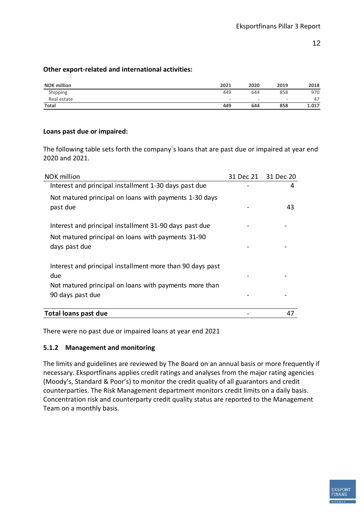#### **Other export-related and international activities:**

| <b>NOK million</b> | 2021                     | 2020                     | 2019                     | 2018  |
|--------------------|--------------------------|--------------------------|--------------------------|-------|
| Shipping           | 449                      | 644                      | 858                      | 970   |
| Real estate        | $\overline{\phantom{a}}$ | $\overline{\phantom{0}}$ | $\overline{\phantom{a}}$ | 47    |
| <b>Total</b>       | 449                      | 644                      | 858                      | 1.017 |

#### **Loans past due or impaired:**

The following table sets forth the company`s loans that are past due or impaired at year end 2020 and 2021.

| NOK million                                                                                                                | 31 Dec 21 31 Dec 20 |
|----------------------------------------------------------------------------------------------------------------------------|---------------------|
| Interest and principal installment 1-30 days past due                                                                      | 4                   |
| Not matured principal on loans with payments 1-30 days<br>past due                                                         | 43                  |
| Interest and principal installment 31-90 days past due                                                                     |                     |
| Not matured principal on loans with payments 31-90<br>days past due                                                        |                     |
| Interest and principal installment more than 90 days past<br>due<br>Not matured principal on loans with payments more than |                     |
| 90 days past due                                                                                                           |                     |
| <b>Total loans past due</b>                                                                                                | 47                  |

<span id="page-13-0"></span>There were no past due or impaired loans at year end 2021

#### **5.1.2 Management and monitoring**

The limits and guidelines are reviewed by The Board on an annual basis or more frequently if necessary. Eksportfinans applies credit ratings and analyses from the major rating agencies (Moody's, Standard & Poor's) to monitor the credit quality of all guarantors and credit counterparties. The Risk Management department monitors credit limits on a daily basis. Concentration risk and counterparty credit quality status are reported to the Management Team on a monthly basis.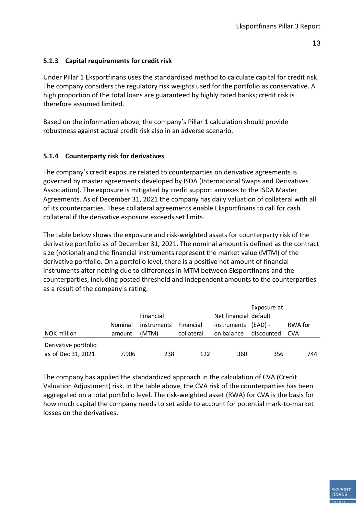#### <span id="page-14-0"></span>**5.1.3 Capital requirements for credit risk**

Under Pillar 1 Eksportfinans uses the standardised method to calculate capital for credit risk. The company considers the regulatory risk weights used for the portfolio as conservative. A high proportion of the total loans are guaranteed by highly rated banks; credit risk is therefore assumed limited.

Based on the information above, the company's Pillar 1 calculation should provide robustness against actual credit risk also in an adverse scenario.

#### <span id="page-14-1"></span>**5.1.4 Counterparty risk for derivatives**

The company's credit exposure related to counterparties on derivative agreements is governed by master agreements developed by ISDA (International Swaps and Derivatives Association). The exposure is mitigated by credit support annexes to the ISDA Master Agreements. As of December 31, 2021 the company has daily valuation of collateral with all of its counterparties. These collateral agreements enable Eksportfinans to call for cash collateral if the derivative exposure exceeds set limits.

The table below shows the exposure and risk-weighted assets for counterparty risk of the derivative portfolio as of December 31, 2021. The nominal amount is defined as the contract size (notional) and the financial instruments represent the market value (MTM) of the derivative portfolio. On a portfolio level, there is a positive net amount of financial instruments after netting due to differences in MTM between Eksportfinans and the counterparties, including posted threshold and independent amounts to the counterparties as a result of the company`s rating.

| NOK million                                | Nominal<br>amount | Financial<br>instruments<br>(MTM) | Financial<br>collateral | Net financial default<br>instruments<br>on balance | Exposure at<br>$(EAD) -$<br>discounted | RWA for<br><b>CVA</b> |
|--------------------------------------------|-------------------|-----------------------------------|-------------------------|----------------------------------------------------|----------------------------------------|-----------------------|
| Derivative portfolio<br>as of Dec 31, 2021 | 7.906             | 238                               | 122                     | 360                                                | 356                                    | 744                   |

The company has applied the standardized approach in the calculation of CVA (Credit Valuation Adjustment) risk. In the table above, the CVA risk of the counterparties has been aggregated on a total portfolio level. The risk-weighted asset (RWA) for CVA is the basis for how much capital the company needs to set aside to account for potential mark-to-market losses on the derivatives.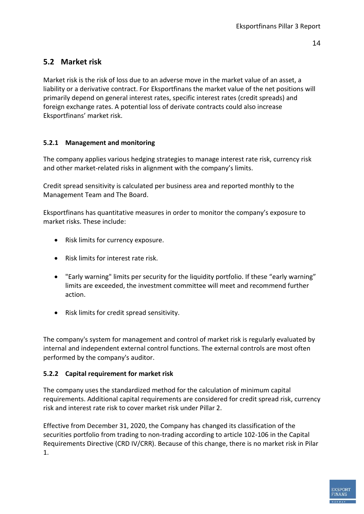#### <span id="page-15-0"></span>**5.2 Market risk**

Market risk is the risk of loss due to an adverse move in the market value of an asset, a liability or a derivative contract. For Eksportfinans the market value of the net positions will primarily depend on general interest rates, specific interest rates (credit spreads) and foreign exchange rates. A potential loss of derivate contracts could also increase Eksportfinans' market risk.

#### <span id="page-15-1"></span>**5.2.1 Management and monitoring**

The company applies various hedging strategies to manage interest rate risk, currency risk and other market-related risks in alignment with the company's limits.

Credit spread sensitivity is calculated per business area and reported monthly to the Management Team and The Board.

Eksportfinans has quantitative measures in order to monitor the company's exposure to market risks. These include:

- Risk limits for currency exposure.
- Risk limits for interest rate risk.
- "Early warning" limits per security for the liquidity portfolio. If these "early warning" limits are exceeded, the investment committee will meet and recommend further action.
- Risk limits for credit spread sensitivity.

The company's system for management and control of market risk is regularly evaluated by internal and independent external control functions. The external controls are most often performed by the company's auditor.

#### <span id="page-15-2"></span>**5.2.2 Capital requirement for market risk**

The company uses the standardized method for the calculation of minimum capital requirements. Additional capital requirements are considered for credit spread risk, currency risk and interest rate risk to cover market risk under Pillar 2.

Effective from December 31, 2020, the Company has changed its classification of the securities portfolio from trading to non-trading according to article 102-106 in the Capital Requirements Directive (CRD IV/CRR). Because of this change, there is no market risk in Pilar 1.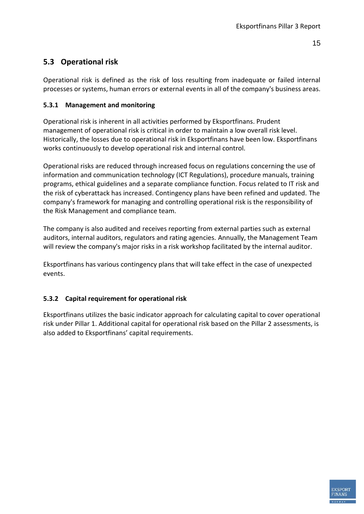#### <span id="page-16-0"></span>**5.3 Operational risk**

Operational risk is defined as the risk of loss resulting from inadequate or failed internal processes or systems, human errors or external events in all of the company's business areas.

#### <span id="page-16-1"></span>**5.3.1 Management and monitoring**

Operational risk is inherent in all activities performed by Eksportfinans. Prudent management of operational risk is critical in order to maintain a low overall risk level. Historically, the losses due to operational risk in Eksportfinans have been low. Eksportfinans works continuously to develop operational risk and internal control.

Operational risks are reduced through increased focus on regulations concerning the use of information and communication technology (ICT Regulations), procedure manuals, training programs, ethical guidelines and a separate compliance function. Focus related to IT risk and the risk of cyberattack has increased. Contingency plans have been refined and updated. The company's framework for managing and controlling operational risk is the responsibility of the Risk Management and compliance team.

The company is also audited and receives reporting from external parties such as external auditors, internal auditors, regulators and rating agencies. Annually, the Management Team will review the company's major risks in a risk workshop facilitated by the internal auditor.

Eksportfinans has various contingency plans that will take effect in the case of unexpected events.

#### <span id="page-16-2"></span>**5.3.2 Capital requirement for operational risk**

Eksportfinans utilizes the basic indicator approach for calculating capital to cover operational risk under Pillar 1. Additional capital for operational risk based on the Pillar 2 assessments, is also added to Eksportfinans' capital requirements.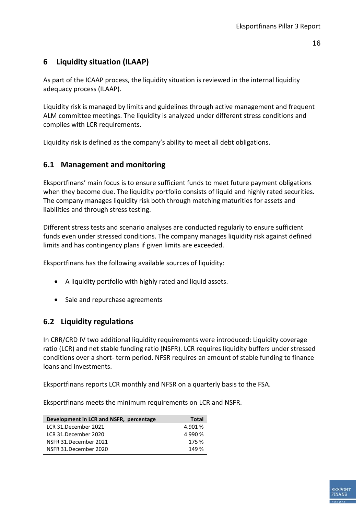#### <span id="page-17-0"></span>**6 Liquidity situation (ILAAP)**

As part of the ICAAP process, the liquidity situation is reviewed in the internal liquidity adequacy process (ILAAP).

Liquidity risk is managed by limits and guidelines through active management and frequent ALM committee meetings. The liquidity is analyzed under different stress conditions and complies with LCR requirements.

<span id="page-17-1"></span>Liquidity risk is defined as the company's ability to meet all debt obligations.

#### **6.1 Management and monitoring**

Eksportfinans' main focus is to ensure sufficient funds to meet future payment obligations when they become due. The liquidity portfolio consists of liquid and highly rated securities. The company manages liquidity risk both through matching maturities for assets and liabilities and through stress testing.

Different stress tests and scenario analyses are conducted regularly to ensure sufficient funds even under stressed conditions. The company manages liquidity risk against defined limits and has contingency plans if given limits are exceeded.

Eksportfinans has the following available sources of liquidity:

- A liquidity portfolio with highly rated and liquid assets.
- Sale and repurchase agreements

#### <span id="page-17-2"></span>**6.2 Liquidity regulations**

In CRR/CRD IV two additional liquidity requirements were introduced: Liquidity coverage ratio (LCR) and net stable funding ratio (NSFR). LCR requires liquidity buffers under stressed conditions over a short- term period. NFSR requires an amount of stable funding to finance loans and investments.

Eksportfinans reports LCR monthly and NFSR on a quarterly basis to the FSA.

Eksportfinans meets the minimum requirements on LCR and NSFR.

| Development in LCR and NSFR, percentage | <b>Total</b> |
|-----------------------------------------|--------------|
| LCR 31.December 2021                    | 4.901 %      |
| LCR 31.December 2020                    | 4 990 %      |
| NSFR 31.December 2021                   | 175 %        |
| NSFR 31.December 2020                   | 149 %        |